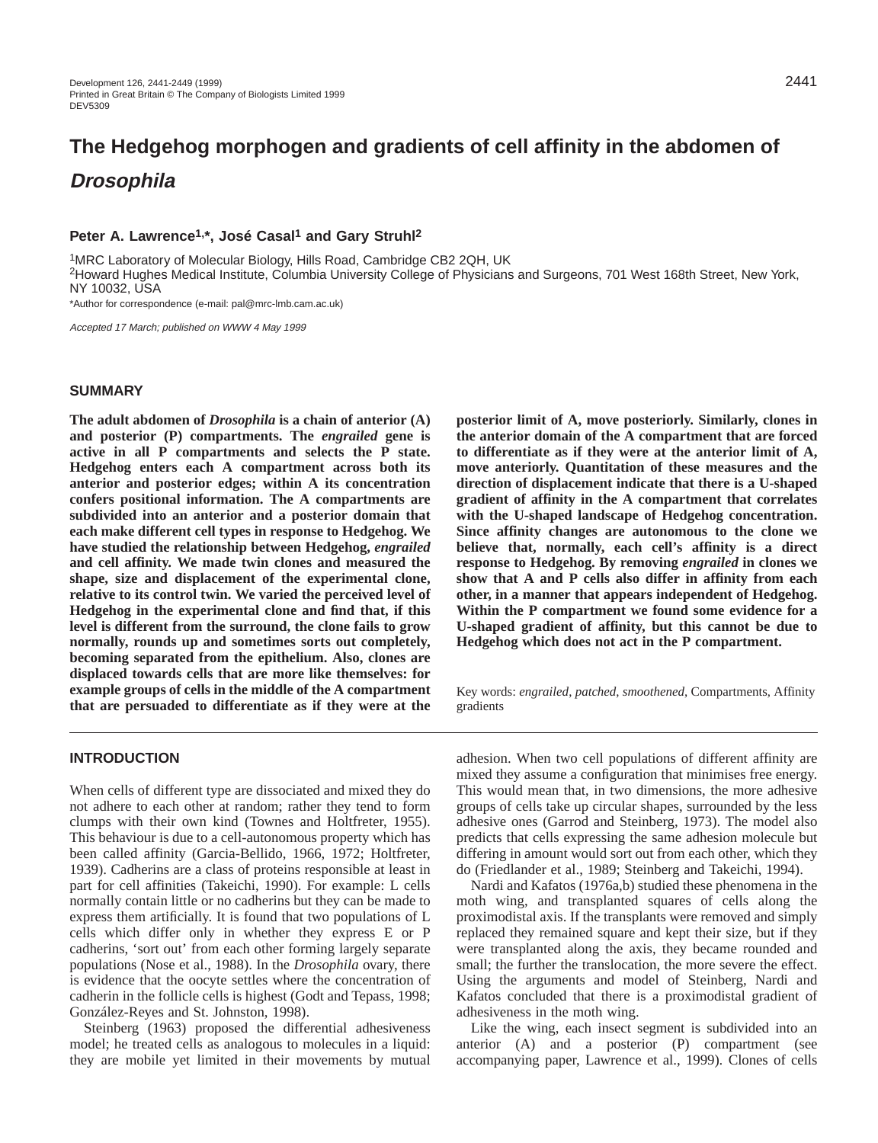# **The Hedgehog morphogen and gradients of cell affinity in the abdomen of Drosophila**

# Peter A. Lawrence<sup>1,\*</sup>, José Casal<sup>1</sup> and Gary Struhl<sup>2</sup>

1MRC Laboratory of Molecular Biology, Hills Road, Cambridge CB2 2QH, UK

2Howard Hughes Medical Institute, Columbia University College of Physicians and Surgeons, 701 West 168th Street, New York, NY 10032, USA

\*Author for correspondence (e-mail: pal@mrc-lmb.cam.ac.uk)

Accepted 17 March; published on WWW 4 May 1999

#### **SUMMARY**

**The adult abdomen of** *Drosophila* **is a chain of anterior (A) and posterior (P) compartments. The** *engrailed* **gene is active in all P compartments and selects the P state. Hedgehog enters each A compartment across both its anterior and posterior edges; within A its concentration confers positional information. The A compartments are subdivided into an anterior and a posterior domain that each make different cell types in response to Hedgehog. We have studied the relationship between Hedgehog,** *engrailed* **and cell affinity. We made twin clones and measured the shape, size and displacement of the experimental clone, relative to its control twin. We varied the perceived level of Hedgehog in the experimental clone and find that, if this level is different from the surround, the clone fails to grow normally, rounds up and sometimes sorts out completely, becoming separated from the epithelium. Also, clones are displaced towards cells that are more like themselves: for example groups of cells in the middle of the A compartment that are persuaded to differentiate as if they were at the**

#### **INTRODUCTION**

When cells of different type are dissociated and mixed they do not adhere to each other at random; rather they tend to form clumps with their own kind (Townes and Holtfreter, 1955). This behaviour is due to a cell-autonomous property which has been called affinity (Garcia-Bellido, 1966, 1972; Holtfreter, 1939). Cadherins are a class of proteins responsible at least in part for cell affinities (Takeichi, 1990). For example: L cells normally contain little or no cadherins but they can be made to express them artificially. It is found that two populations of L cells which differ only in whether they express E or P cadherins, 'sort out' from each other forming largely separate populations (Nose et al., 1988). In the *Drosophila* ovary, there is evidence that the oocyte settles where the concentration of cadherin in the follicle cells is highest (Godt and Tepass, 1998; González-Reyes and St. Johnston, 1998).

Steinberg (1963) proposed the differential adhesiveness model; he treated cells as analogous to molecules in a liquid: they are mobile yet limited in their movements by mutual **posterior limit of A, move posteriorly. Similarly, clones in the anterior domain of the A compartment that are forced to differentiate as if they were at the anterior limit of A, move anteriorly. Quantitation of these measures and the direction of displacement indicate that there is a U-shaped gradient of affinity in the A compartment that correlates with the U-shaped landscape of Hedgehog concentration. Since affinity changes are autonomous to the clone we believe that, normally, each cell's affinity is a direct response to Hedgehog. By removing** *engrailed* **in clones we show that A and P cells also differ in affinity from each other, in a manner that appears independent of Hedgehog. Within the P compartment we found some evidence for a U-shaped gradient of affinity, but this cannot be due to Hedgehog which does not act in the P compartment.**

Key words: *engrailed*, *patched*, *smoothened*, Compartments, Affinity gradients

adhesion. When two cell populations of different affinity are mixed they assume a configuration that minimises free energy. This would mean that, in two dimensions, the more adhesive groups of cells take up circular shapes, surrounded by the less adhesive ones (Garrod and Steinberg, 1973). The model also predicts that cells expressing the same adhesion molecule but differing in amount would sort out from each other, which they do (Friedlander et al., 1989; Steinberg and Takeichi, 1994).

Nardi and Kafatos (1976a,b) studied these phenomena in the moth wing, and transplanted squares of cells along the proximodistal axis. If the transplants were removed and simply replaced they remained square and kept their size, but if they were transplanted along the axis, they became rounded and small; the further the translocation, the more severe the effect. Using the arguments and model of Steinberg, Nardi and Kafatos concluded that there is a proximodistal gradient of adhesiveness in the moth wing.

Like the wing, each insect segment is subdivided into an anterior (A) and a posterior (P) compartment (see accompanying paper, Lawrence et al., 1999). Clones of cells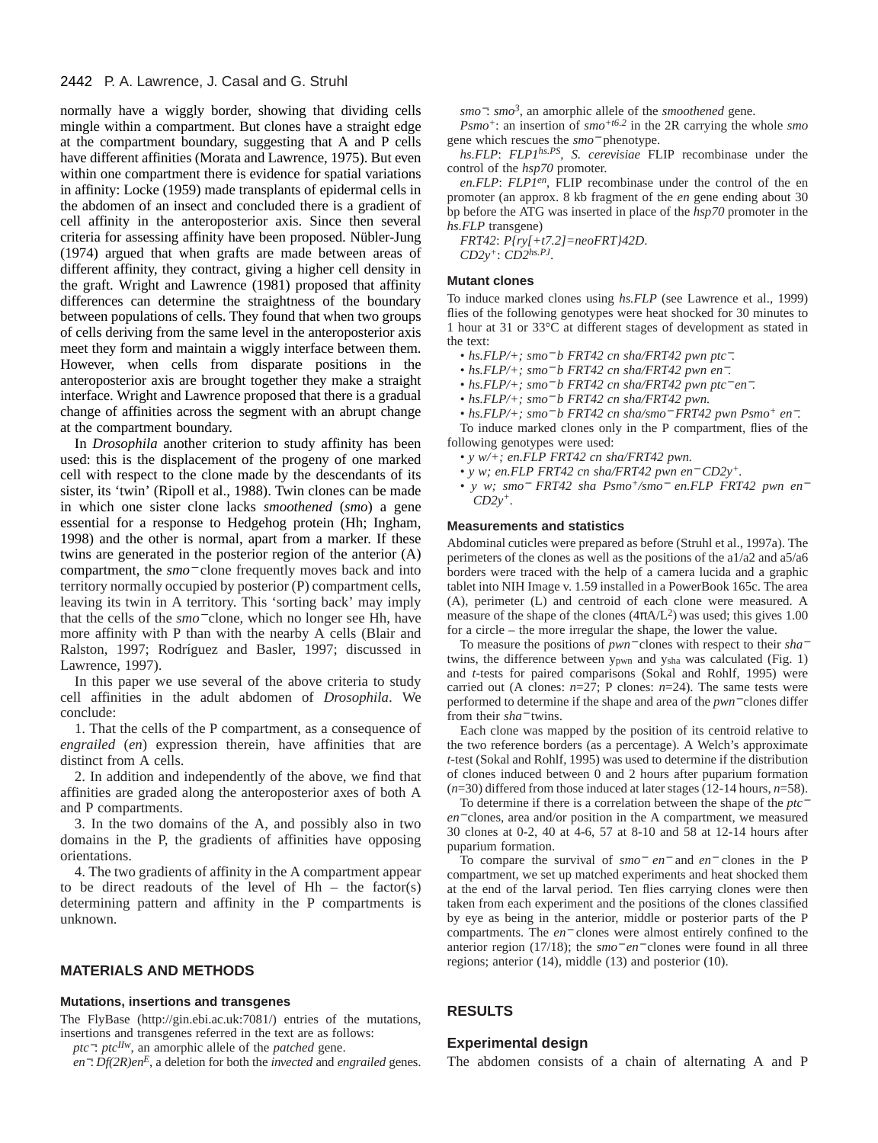#### 2442 P. A. Lawrence, J. Casal and G. Struhl

normally have a wiggly border, showing that dividing cells mingle within a compartment. But clones have a straight edge at the compartment boundary, suggesting that A and P cells have different affinities (Morata and Lawrence, 1975). But even within one compartment there is evidence for spatial variations in affinity: Locke (1959) made transplants of epidermal cells in the abdomen of an insect and concluded there is a gradient of cell affinity in the anteroposterior axis. Since then several criteria for assessing affinity have been proposed. Nübler-Jung (1974) argued that when grafts are made between areas of different affinity, they contract, giving a higher cell density in the graft. Wright and Lawrence (1981) proposed that affinity differences can determine the straightness of the boundary between populations of cells. They found that when two groups of cells deriving from the same level in the anteroposterior axis meet they form and maintain a wiggly interface between them. However, when cells from disparate positions in the anteroposterior axis are brought together they make a straight interface. Wright and Lawrence proposed that there is a gradual change of affinities across the segment with an abrupt change at the compartment boundary.

In *Drosophila* another criterion to study affinity has been used: this is the displacement of the progeny of one marked cell with respect to the clone made by the descendants of its sister, its 'twin' (Ripoll et al., 1988). Twin clones can be made in which one sister clone lacks *smoothened* (*smo*) a gene essential for a response to Hedgehog protein (Hh; Ingham, 1998) and the other is normal, apart from a marker. If these twins are generated in the posterior region of the anterior (A) compartment, the *smo*<sup>−</sup> clone frequently moves back and into territory normally occupied by posterior (P) compartment cells, leaving its twin in A territory. This 'sorting back' may imply that the cells of the *smo*<sup>−</sup> clone, which no longer see Hh, have more affinity with P than with the nearby A cells (Blair and Ralston, 1997; Rodríguez and Basler, 1997; discussed in Lawrence, 1997).

In this paper we use several of the above criteria to study cell affinities in the adult abdomen of *Drosophila*. We conclude:

1. That the cells of the P compartment, as a consequence of *engrailed* (*en*) expression therein, have affinities that are distinct from A cells.

2. In addition and independently of the above, we find that affinities are graded along the anteroposterior axes of both A and P compartments.

3. In the two domains of the A, and possibly also in two domains in the P, the gradients of affinities have opposing orientations.

4. The two gradients of affinity in the A compartment appear to be direct readouts of the level of  $Hh$  – the factor(s) determining pattern and affinity in the P compartments is unknown.

#### **MATERIALS AND METHODS**

#### **Mutations, insertions and transgenes**

The FlyBase (http://gin.ebi.ac.uk:7081/) entries of the mutations, insertions and transgenes referred in the text are as follows:

*ptc*−: *ptcIIw*, an amorphic allele of the *patched* gene. *en*−: *Df(2R)enE*, a deletion for both the *invected* and *engrailed* genes. *smo*−: *smo3*, an amorphic allele of the *smoothened* gene.

*Psmo+*: an insertion of *smo+t6.2* in the 2R carrying the whole *smo* gene which rescues the *smo*<sup>−</sup> phenotype.

*hs.FLP*: *FLP1hs.PS*, *S. cerevisiae* FLIP recombinase under the control of the *hsp70* promoter.

*en.FLP*: *FLP1en*, FLIP recombinase under the control of the en promoter (an approx. 8 kb fragment of the *en* gene ending about 30 bp before the ATG was inserted in place of the *hsp70* promoter in the *hs.FLP* transgene)

*FRT42*: *P{ry[+t7.2]=neoFRT}42D*. *CD2y+*: *CD2hs.PJ*.

#### **Mutant clones**

To induce marked clones using *hs.FLP* (see Lawrence et al., 1999) flies of the following genotypes were heat shocked for 30 minutes to 1 hour at 31 or 33°C at different stages of development as stated in the text:

- *hs.FLP/+; smo*<sup>−</sup> *b FRT42 cn sha/FRT42 pwn ptc*−*.*
- *hs.FLP/+; smo*<sup>−</sup> *b FRT42 cn sha/FRT42 pwn en*−*.*
- *hs.FLP/+; smo*<sup>−</sup> *b FRT42 cn sha/FRT42 pwn ptc*<sup>−</sup> *en*−*.*
- *hs.FLP/+; smo*<sup>−</sup> *b FRT42 cn sha/FRT42 pwn.*
- *hs.FLP/+; smo*<sup>−</sup> *b FRT42 cn sha/smo*<sup>−</sup> *FRT42 pwn Psmo+ en*−*.*

To induce marked clones only in the P compartment, flies of the following genotypes were used:

- *y w/+; en.FLP FRT42 cn sha/FRT42 pwn.*
- *y w; en.FLP FRT42 cn sha/FRT42 pwn en*<sup>−</sup> *CD2y+.*
- *y w; smo*<sup>−</sup> *FRT42 sha Psmo+/smo*<sup>−</sup> *en.FLP FRT42 pwn en*<sup>−</sup> *CD2y+.*

#### **Measurements and statistics**

Abdominal cuticles were prepared as before (Struhl et al., 1997a). The perimeters of the clones as well as the positions of the a1/a2 and a5/a6 borders were traced with the help of a camera lucida and a graphic tablet into NIH Image v. 1.59 installed in a PowerBook 165c. The area (A), perimeter (L) and centroid of each clone were measured. A measure of the shape of the clones  $(4\pi A/L^2)$  was used; this gives 1.00 for a circle – the more irregular the shape, the lower the value.

To measure the positions of *pwn*<sup>−</sup> clones with respect to their *sha*<sup>−</sup> twins, the difference between ypwn and ysha was calculated (Fig. 1) and *t*-tests for paired comparisons (Sokal and Rohlf, 1995) were carried out (A clones:  $n=27$ ; P clones:  $n=24$ ). The same tests were performed to determine if the shape and area of the *pwn*<sup>−</sup> clones differ from their *sha*<sup>−</sup> twins.

Each clone was mapped by the position of its centroid relative to the two reference borders (as a percentage). A Welch's approximate *t*-test (Sokal and Rohlf, 1995) was used to determine if the distribution of clones induced between 0 and 2 hours after puparium formation (*n*=30) differed from those induced at later stages (12-14 hours, *n*=58).

To determine if there is a correlation between the shape of the *ptc*<sup>−</sup> *en*<sup>−</sup> clones, area and/or position in the A compartment, we measured 30 clones at 0-2, 40 at 4-6, 57 at 8-10 and 58 at 12-14 hours after puparium formation.

To compare the survival of *smo*<sup>−</sup> *en*<sup>−</sup> and *en*<sup>−</sup> clones in the P compartment, we set up matched experiments and heat shocked them at the end of the larval period. Ten flies carrying clones were then taken from each experiment and the positions of the clones classified by eye as being in the anterior, middle or posterior parts of the P compartments. The *en*<sup>−</sup> clones were almost entirely confined to the anterior region (17/18); the *smo*<sup>−</sup> *en*<sup>−</sup> clones were found in all three regions; anterior (14), middle (13) and posterior (10).

#### **RESULTS**

#### **Experimental design**

The abdomen consists of a chain of alternating A and P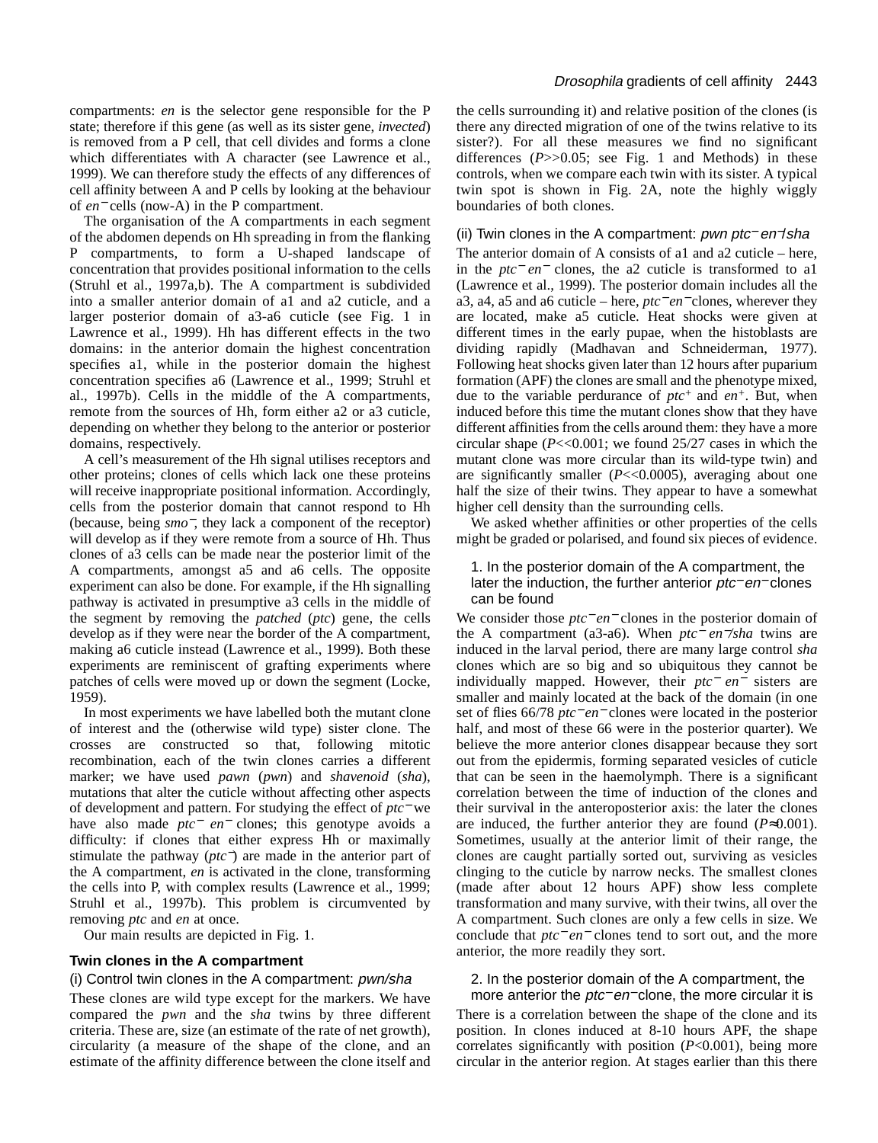compartments: *en* is the selector gene responsible for the P state; therefore if this gene (as well as its sister gene, *invected*) is removed from a P cell, that cell divides and forms a clone which differentiates with A character (see Lawrence et al., 1999). We can therefore study the effects of any differences of cell affinity between A and P cells by looking at the behaviour of *en*<sup>−</sup> cells (now-A) in the P compartment.

The organisation of the A compartments in each segment of the abdomen depends on Hh spreading in from the flanking P compartments, to form a U-shaped landscape of concentration that provides positional information to the cells (Struhl et al., 1997a,b). The A compartment is subdivided into a smaller anterior domain of a1 and a2 cuticle, and a larger posterior domain of a3-a6 cuticle (see Fig. 1 in Lawrence et al., 1999). Hh has different effects in the two domains: in the anterior domain the highest concentration specifies a1, while in the posterior domain the highest concentration specifies a6 (Lawrence et al., 1999; Struhl et al., 1997b). Cells in the middle of the A compartments, remote from the sources of Hh, form either a2 or a3 cuticle, depending on whether they belong to the anterior or posterior domains, respectively.

A cell's measurement of the Hh signal utilises receptors and other proteins; clones of cells which lack one these proteins will receive inappropriate positional information. Accordingly, cells from the posterior domain that cannot respond to Hh (because, being *smo*−, they lack a component of the receptor) will develop as if they were remote from a source of Hh. Thus clones of a3 cells can be made near the posterior limit of the A compartments, amongst a5 and a6 cells. The opposite experiment can also be done. For example, if the Hh signalling pathway is activated in presumptive a3 cells in the middle of the segment by removing the *patched* (*ptc*) gene, the cells develop as if they were near the border of the A compartment, making a6 cuticle instead (Lawrence et al., 1999). Both these experiments are reminiscent of grafting experiments where patches of cells were moved up or down the segment (Locke, 1959).

In most experiments we have labelled both the mutant clone of interest and the (otherwise wild type) sister clone. The crosses are constructed so that, following mitotic recombination, each of the twin clones carries a different marker; we have used *pawn* (*pwn*) and *shavenoid* (*sha*), mutations that alter the cuticle without affecting other aspects of development and pattern. For studying the effect of *ptc*<sup>−</sup> we have also made *ptc*<sup>−</sup> *en*<sup>−</sup> clones; this genotype avoids a difficulty: if clones that either express Hh or maximally stimulate the pathway (*ptc*−) are made in the anterior part of the A compartment, *en* is activated in the clone, transforming the cells into P, with complex results (Lawrence et al., 1999; Struhl et al., 1997b). This problem is circumvented by removing *ptc* and *en* at once.

Our main results are depicted in Fig. 1.

#### **Twin clones in the A compartment**

#### (i) Control twin clones in the A compartment: pwn/sha

These clones are wild type except for the markers. We have compared the *pwn* and the *sha* twins by three different criteria. These are, size (an estimate of the rate of net growth), circularity (a measure of the shape of the clone, and an estimate of the affinity difference between the clone itself and

#### Drosophila gradients of cell affinity 2443

the cells surrounding it) and relative position of the clones (is there any directed migration of one of the twins relative to its sister?). For all these measures we find no significant differences  $(P>>0.05$ ; see Fig. 1 and Methods) in these controls, when we compare each twin with its sister. A typical twin spot is shown in Fig. 2A, note the highly wiggly boundaries of both clones.

#### (ii) Twin clones in the A compartment: pwn ptc<sup>−</sup> en−/sha

The anterior domain of A consists of a1 and a2 cuticle – here, in the *ptc*<sup>−</sup> *en*<sup>−</sup> clones, the a2 cuticle is transformed to a1 (Lawrence et al., 1999). The posterior domain includes all the a3, a4, a5 and a6 cuticle – here, *ptc*<sup>−</sup> *en*<sup>−</sup> clones, wherever they are located, make a5 cuticle. Heat shocks were given at different times in the early pupae, when the histoblasts are dividing rapidly (Madhavan and Schneiderman, 1977). Following heat shocks given later than 12 hours after puparium formation (APF) the clones are small and the phenotype mixed, due to the variable perdurance of *ptc+* and *en+*. But, when induced before this time the mutant clones show that they have different affinities from the cells around them: they have a more circular shape (*P*<<0.001; we found 25/27 cases in which the mutant clone was more circular than its wild-type twin) and are significantly smaller (*P*<<0.0005), averaging about one half the size of their twins. They appear to have a somewhat higher cell density than the surrounding cells.

We asked whether affinities or other properties of the cells might be graded or polarised, and found six pieces of evidence.

#### 1. In the posterior domain of the A compartment, the later the induction, the further anterior *ptc*− en− clones can be found

We consider those *ptc*<sup>−</sup> *en*<sup>−</sup> clones in the posterior domain of the A compartment (a3-a6). When *ptc*<sup>−</sup> *en*−*/sha* twins are induced in the larval period, there are many large control *sha* clones which are so big and so ubiquitous they cannot be individually mapped. However, their *ptc*<sup>−</sup> *en*<sup>−</sup> sisters are smaller and mainly located at the back of the domain (in one set of flies 66/78 *ptc*<sup>−</sup> *en*<sup>−</sup> clones were located in the posterior half, and most of these 66 were in the posterior quarter). We believe the more anterior clones disappear because they sort out from the epidermis, forming separated vesicles of cuticle that can be seen in the haemolymph. There is a significant correlation between the time of induction of the clones and their survival in the anteroposterior axis: the later the clones are induced, the further anterior they are found  $(P \approx 0.001)$ . Sometimes, usually at the anterior limit of their range, the clones are caught partially sorted out, surviving as vesicles clinging to the cuticle by narrow necks. The smallest clones (made after about 12 hours APF) show less complete transformation and many survive, with their twins, all over the A compartment. Such clones are only a few cells in size. We conclude that *ptc*<sup>−</sup> *en*<sup>−</sup> clones tend to sort out, and the more anterior, the more readily they sort.

#### 2. In the posterior domain of the A compartment, the more anterior the *ptc*− en− clone, the more circular it is

There is a correlation between the shape of the clone and its position. In clones induced at 8-10 hours APF, the shape correlates significantly with position (*P*<0.001), being more circular in the anterior region. At stages earlier than this there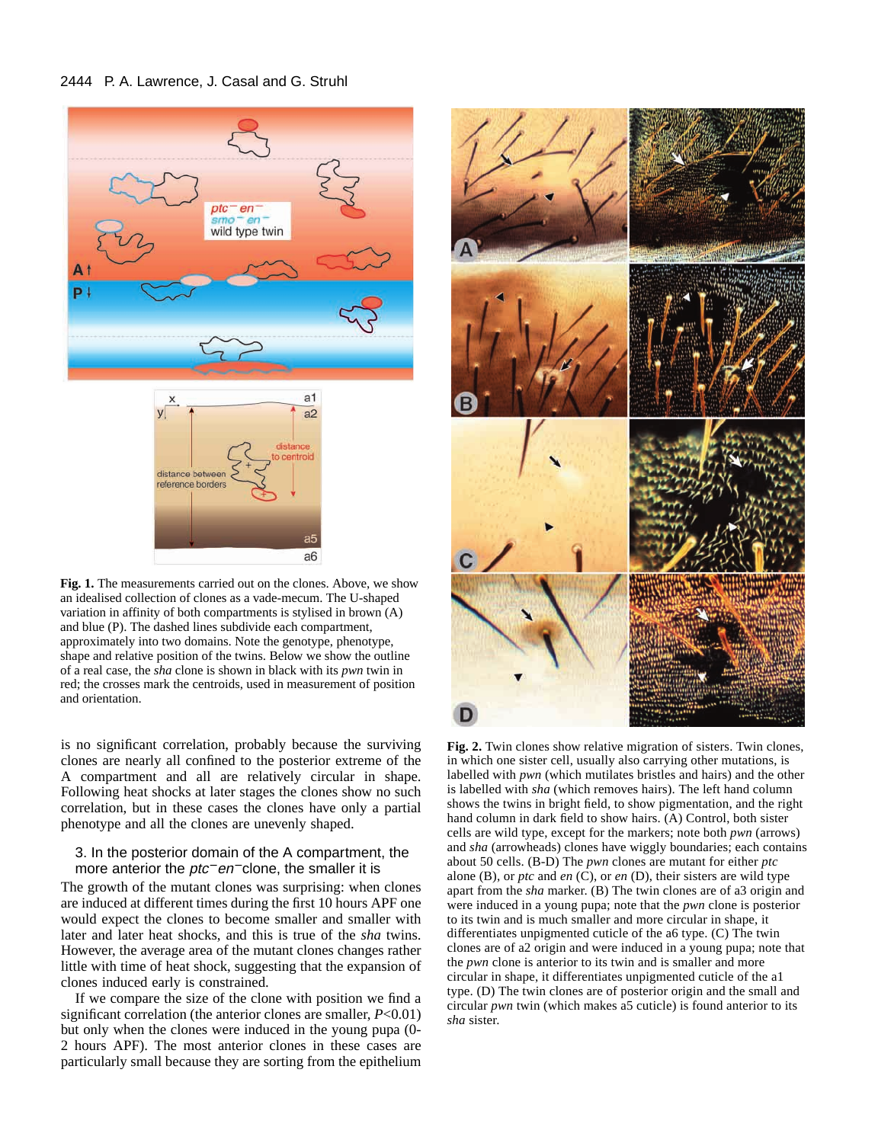#### 2444 P. A. Lawrence, J. Casal and G. Struhl



**Fig. 1.** The measurements carried out on the clones. Above, we show an idealised collection of clones as a vade-mecum. The U-shaped variation in affinity of both compartments is stylised in brown (A) and blue (P). The dashed lines subdivide each compartment, approximately into two domains. Note the genotype, phenotype, shape and relative position of the twins. Below we show the outline of a real case, the *sha* clone is shown in black with its *pwn* twin in red; the crosses mark the centroids, used in measurement of position and orientation.

is no significant correlation, probably because the surviving clones are nearly all confined to the posterior extreme of the A compartment and all are relatively circular in shape. Following heat shocks at later stages the clones show no such correlation, but in these cases the clones have only a partial phenotype and all the clones are unevenly shaped.

#### 3. In the posterior domain of the A compartment, the more anterior the *ptc<sup>−</sup>* en<sup>−</sup> clone, the smaller it is

The growth of the mutant clones was surprising: when clones are induced at different times during the first 10 hours APF one would expect the clones to become smaller and smaller with later and later heat shocks, and this is true of the *sha* twins. However, the average area of the mutant clones changes rather little with time of heat shock, suggesting that the expansion of clones induced early is constrained.

If we compare the size of the clone with position we find a significant correlation (the anterior clones are smaller, *P*<0.01) but only when the clones were induced in the young pupa (0- 2 hours APF). The most anterior clones in these cases are particularly small because they are sorting from the epithelium



**Fig. 2.** Twin clones show relative migration of sisters. Twin clones, in which one sister cell, usually also carrying other mutations, is labelled with *pwn* (which mutilates bristles and hairs) and the other is labelled with *sha* (which removes hairs). The left hand column shows the twins in bright field, to show pigmentation, and the right hand column in dark field to show hairs. (A) Control, both sister cells are wild type, except for the markers; note both *pwn* (arrows) and *sha* (arrowheads) clones have wiggly boundaries; each contains about 50 cells. (B-D) The *pwn* clones are mutant for either *ptc* alone (B), or *ptc* and *en* (C), or *en* (D), their sisters are wild type apart from the *sha* marker. (B) The twin clones are of a3 origin and were induced in a young pupa; note that the *pwn* clone is posterior to its twin and is much smaller and more circular in shape, it differentiates unpigmented cuticle of the a6 type. (C) The twin clones are of a2 origin and were induced in a young pupa; note that the *pwn* clone is anterior to its twin and is smaller and more circular in shape, it differentiates unpigmented cuticle of the a1 type. (D) The twin clones are of posterior origin and the small and circular *pwn* twin (which makes a5 cuticle) is found anterior to its *sha* sister.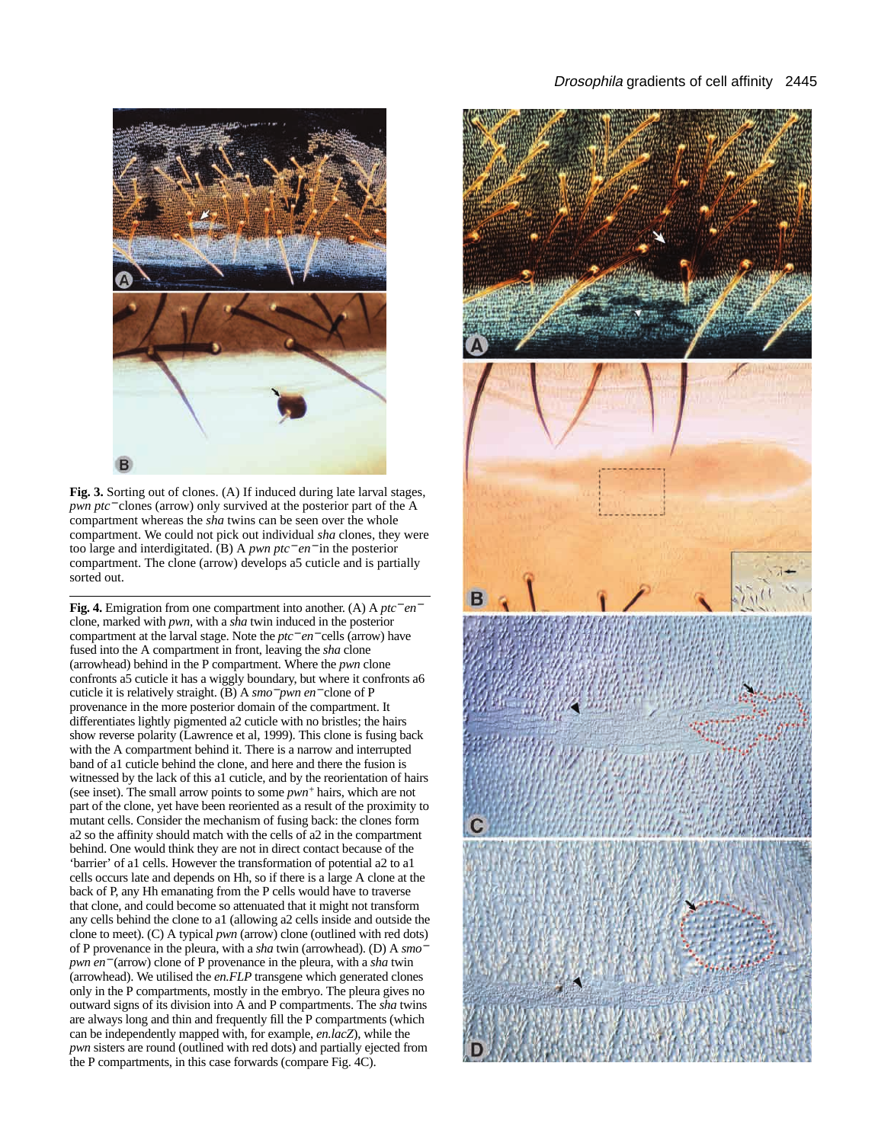Fig. 3. Sorting out of clones. (A) If induced during late larval stages, *pwn ptc*<sup>−</sup> clones (arrow) only survived at the posterior part of the A compartment whereas the *sha* twins can be seen over the whole compartment. We could not pick out individual *sha* clones, they were too large and interdigitated. (B) A *pwn ptc*<sup>−</sup> *en*<sup>−</sup> in the posterior compartment. The clone (arrow) develops a5 cuticle and is partially sorted out.

**Fig. 4.** Emigration from one compartment into another. (A) A *ptc*<sup>−</sup> *en*<sup>−</sup> clone, marked with *pwn,* with a *sha* twin induced in the posterior compartment at the larval stage. Note the *ptc*<sup>−</sup> *en*<sup>−</sup> cells (arrow) have fused into the A compartment in front, leaving the *sha* clone (arrowhead) behind in the P compartment. Where the *pwn* clone confronts a5 cuticle it has a wiggly boundary, but where it confronts a6 cuticle it is relatively straight. (B) A *smo*<sup>−</sup> *pwn en*<sup>−</sup> clone of P provenance in the more posterior domain of the compartment. It differentiates lightly pigmented a2 cuticle with no bristles; the hairs show reverse polarity (Lawrence et al, 1999). This clone is fusing back with the A compartment behind it. There is a narrow and interrupted band of a1 cuticle behind the clone, and here and there the fusion is witnessed by the lack of this a1 cuticle, and by the reorientation of hairs (see inset). The small arrow points to some *pwn+* hairs, which are not part of the clone, yet have been reoriented as a result of the proximity to mutant cells. Consider the mechanism of fusing back: the clones form a2 so the affinity should match with the cells of a2 in the compartment behind. One would think they are not in direct contact because of the 'barrier' of a1 cells. However the transformation of potential a2 to a1 cells occurs late and depends on Hh, so if there is a large A clone at the back of P, any Hh emanating from the P cells would have to traverse that clone, and could become so attenuated that it might not transform any cells behind the clone to a1 (allowing a2 cells inside and outside the clone to meet). (C) A typical *pwn* (arrow) clone (outlined with red dots) of P provenance in the pleura, with a *sha* twin (arrowhead). (D) A *smo*<sup>−</sup> *pwn en*<sup>−</sup> (arrow) clone of P provenance in the pleura, with a *sha* twin (arrowhead). We utilised the *en.FLP* transgene which generated clones only in the P compartments, mostly in the embryo. The pleura gives no outward signs of its division into A and P compartments. The *sha* twins are always long and thin and frequently fill the P compartments (which can be independently mapped with, for example, *en.lacZ*), while the *pwn* sisters are round (outlined with red dots) and partially ejected from the P compartments, in this case forwards (compare Fig. 4C).

#### Drosophila gradients of cell affinity 2445

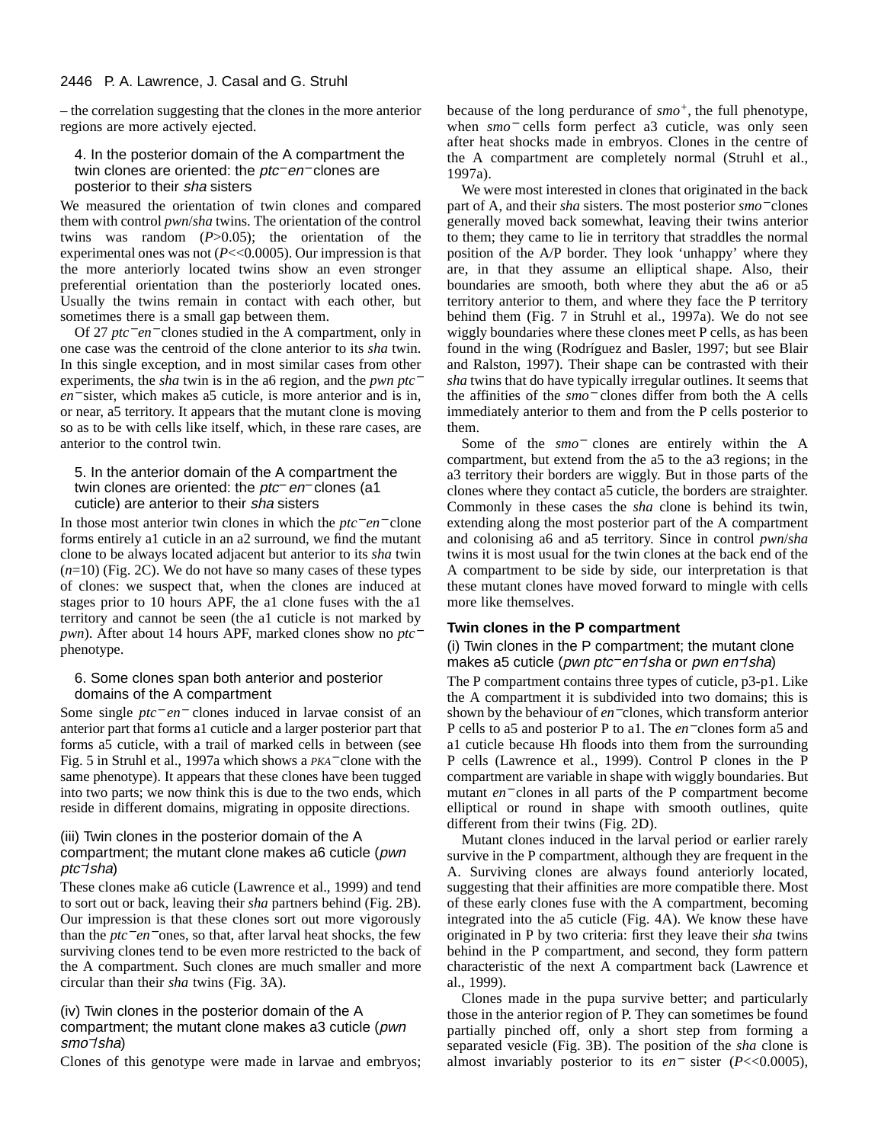– the correlation suggesting that the clones in the more anterior regions are more actively ejected.

#### 4. In the posterior domain of the A compartment the twin clones are oriented: the *ptc<sup>−</sup>* en<sup>−</sup> clones are posterior to their sha sisters

We measured the orientation of twin clones and compared them with control *pwn*/*sha* twins. The orientation of the control twins was random (*P*>0.05); the orientation of the experimental ones was not  $(P \ll 0.0005)$ . Our impression is that the more anteriorly located twins show an even stronger preferential orientation than the posteriorly located ones. Usually the twins remain in contact with each other, but sometimes there is a small gap between them.

Of 27 *ptc*<sup>−</sup> *en*<sup>−</sup> clones studied in the A compartment, only in one case was the centroid of the clone anterior to its *sha* twin. In this single exception, and in most similar cases from other experiments, the *sha* twin is in the a6 region, and the *pwn ptc*<sup>−</sup> *en*<sup>−</sup> sister, which makes a5 cuticle, is more anterior and is in, or near, a5 territory. It appears that the mutant clone is moving so as to be with cells like itself, which, in these rare cases, are anterior to the control twin.

#### 5. In the anterior domain of the A compartment the twin clones are oriented: the *ptc− en*− clones (a1 cuticle) are anterior to their sha sisters

In those most anterior twin clones in which the *ptc*<sup>−</sup> *en*<sup>−</sup> clone forms entirely a1 cuticle in an a2 surround, we find the mutant clone to be always located adjacent but anterior to its *sha* twin (*n*=10) (Fig. 2C). We do not have so many cases of these types of clones: we suspect that, when the clones are induced at stages prior to 10 hours APF, the a1 clone fuses with the a1 territory and cannot be seen (the a1 cuticle is not marked by *pwn*). After about 14 hours APF, marked clones show no *ptc*<sup>−</sup> phenotype.

#### 6. Some clones span both anterior and posterior domains of the A compartment

Some single *ptc*<sup>−</sup> *en*<sup>−</sup> clones induced in larvae consist of an anterior part that forms a1 cuticle and a larger posterior part that forms a5 cuticle, with a trail of marked cells in between (see Fig. 5 in Struhl et al., 1997a which shows a *PKA*<sup>−</sup> clone with the same phenotype). It appears that these clones have been tugged into two parts; we now think this is due to the two ends, which reside in different domains, migrating in opposite directions.

#### (iii) Twin clones in the posterior domain of the A compartment; the mutant clone makes a6 cuticle (pwn ptc−/sha)

These clones make a6 cuticle (Lawrence et al., 1999) and tend to sort out or back, leaving their *sha* partners behind (Fig. 2B). Our impression is that these clones sort out more vigorously than the *ptc*<sup>−</sup> *en*<sup>−</sup> ones, so that, after larval heat shocks, the few surviving clones tend to be even more restricted to the back of the A compartment. Such clones are much smaller and more circular than their *sha* twins (Fig. 3A).

#### (iv) Twin clones in the posterior domain of the A compartment; the mutant clone makes a3 cuticle (pwn smo−/sha)

Clones of this genotype were made in larvae and embryos;

because of the long perdurance of *smo+*, the full phenotype, when *smo*<sup>−</sup> cells form perfect a3 cuticle, was only seen after heat shocks made in embryos. Clones in the centre of the A compartment are completely normal (Struhl et al., 1997a).

We were most interested in clones that originated in the back part of A, and their *sha* sisters. The most posterior *smo*<sup>−</sup> clones generally moved back somewhat, leaving their twins anterior to them; they came to lie in territory that straddles the normal position of the A/P border. They look 'unhappy' where they are, in that they assume an elliptical shape. Also, their boundaries are smooth, both where they abut the a6 or a5 territory anterior to them, and where they face the P territory behind them (Fig. 7 in Struhl et al., 1997a). We do not see wiggly boundaries where these clones meet P cells, as has been found in the wing (Rodríguez and Basler, 1997; but see Blair and Ralston, 1997). Their shape can be contrasted with their *sha* twins that do have typically irregular outlines. It seems that the affinities of the *smo*<sup>−</sup> clones differ from both the A cells immediately anterior to them and from the P cells posterior to them.

Some of the *smo*<sup>−</sup> clones are entirely within the A compartment, but extend from the a5 to the a3 regions; in the a3 territory their borders are wiggly. But in those parts of the clones where they contact a5 cuticle, the borders are straighter. Commonly in these cases the *sha* clone is behind its twin, extending along the most posterior part of the A compartment and colonising a6 and a5 territory. Since in control *pwn*/*sha* twins it is most usual for the twin clones at the back end of the A compartment to be side by side, our interpretation is that these mutant clones have moved forward to mingle with cells more like themselves.

#### **Twin clones in the P compartment**

(i) Twin clones in the P compartment; the mutant clone makes a5 cuticle (*pwn ptc*− en<sup>-</sup>/sha or *pwn en<sup>-</sup>*/sha)

The P compartment contains three types of cuticle, p3-p1. Like the A compartment it is subdivided into two domains; this is shown by the behaviour of *en*<sup>−</sup> clones, which transform anterior P cells to a5 and posterior P to a1. The *en*<sup>−</sup> clones form a5 and a1 cuticle because Hh floods into them from the surrounding P cells (Lawrence et al., 1999). Control P clones in the P compartment are variable in shape with wiggly boundaries. But mutant *en*<sup>−</sup> clones in all parts of the P compartment become elliptical or round in shape with smooth outlines, quite different from their twins (Fig. 2D).

Mutant clones induced in the larval period or earlier rarely survive in the P compartment, although they are frequent in the A. Surviving clones are always found anteriorly located, suggesting that their affinities are more compatible there. Most of these early clones fuse with the A compartment, becoming integrated into the a5 cuticle (Fig. 4A). We know these have originated in P by two criteria: first they leave their *sha* twins behind in the P compartment, and second, they form pattern characteristic of the next A compartment back (Lawrence et al., 1999).

Clones made in the pupa survive better; and particularly those in the anterior region of P. They can sometimes be found partially pinched off, only a short step from forming a separated vesicle (Fig. 3B). The position of the *sha* clone is almost invariably posterior to its *en*<sup>−</sup> sister (*P*<<0.0005),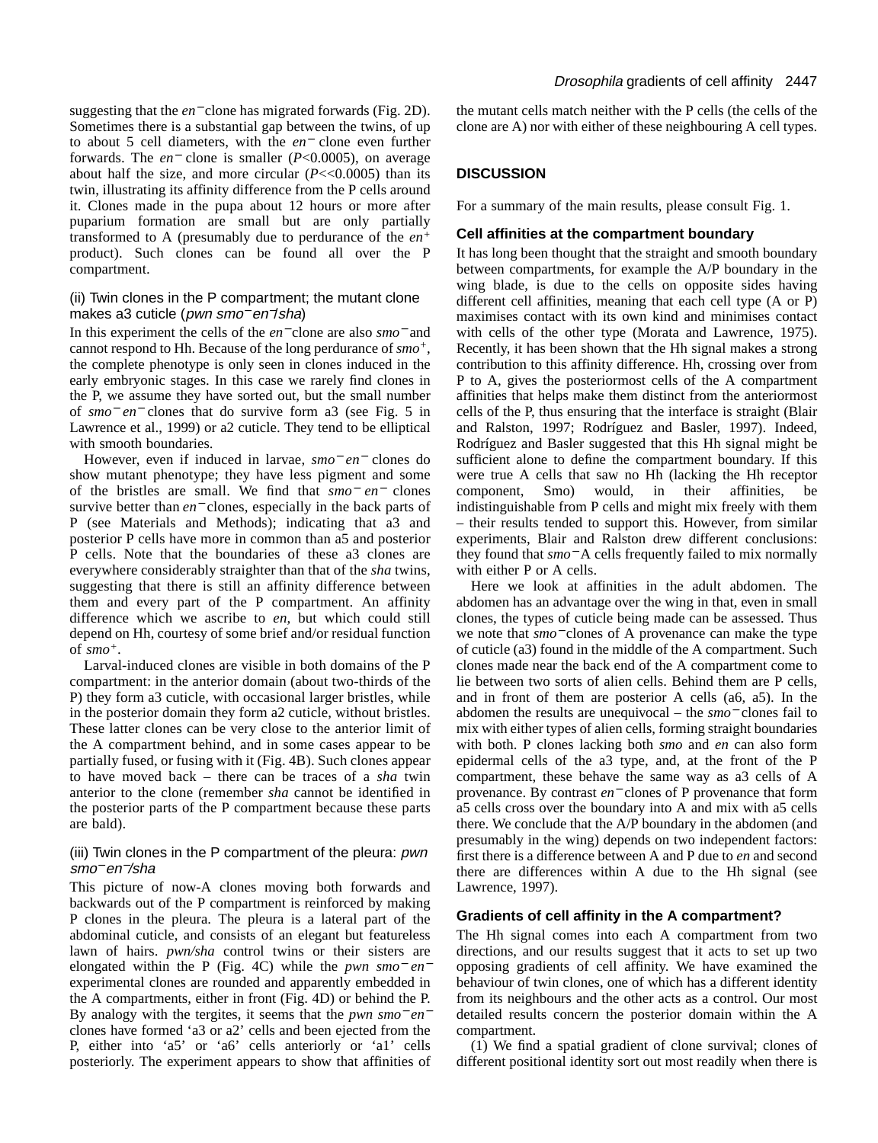suggesting that the *en*<sup>−</sup> clone has migrated forwards (Fig. 2D). Sometimes there is a substantial gap between the twins, of up to about 5 cell diameters, with the *en*<sup>−</sup> clone even further forwards. The *en*<sup>−</sup> clone is smaller (*P*<0.0005), on average about half the size, and more circular  $(P \ll 0.0005)$  than its twin, illustrating its affinity difference from the P cells around it. Clones made in the pupa about 12 hours or more after puparium formation are small but are only partially transformed to A (presumably due to perdurance of the *en<sup>+</sup>* product). Such clones can be found all over the P compartment.

#### (ii) Twin clones in the P compartment; the mutant clone makes a3 cuticle (pwn smo<sup>−</sup> en−/sha)

In this experiment the cells of the *en*<sup>−</sup> clone are also *smo*<sup>−</sup> and cannot respond to Hh. Because of the long perdurance of *smo+*, the complete phenotype is only seen in clones induced in the early embryonic stages. In this case we rarely find clones in the P, we assume they have sorted out, but the small number of *smo*<sup>−</sup> *en*<sup>−</sup> clones that do survive form a3 (see Fig. 5 in Lawrence et al., 1999) or a2 cuticle. They tend to be elliptical with smooth boundaries.

However, even if induced in larvae, *smo*<sup>−</sup> *en*<sup>−</sup> clones do show mutant phenotype; they have less pigment and some of the bristles are small. We find that *smo*<sup>−</sup> *en*<sup>−</sup> clones survive better than *en*<sup>−</sup> clones, especially in the back parts of P (see Materials and Methods); indicating that a3 and posterior P cells have more in common than a5 and posterior P cells. Note that the boundaries of these a3 clones are everywhere considerably straighter than that of the *sha* twins, suggesting that there is still an affinity difference between them and every part of the P compartment. An affinity difference which we ascribe to *en*, but which could still depend on Hh, courtesy of some brief and/or residual function of *smo+*.

Larval-induced clones are visible in both domains of the P compartment: in the anterior domain (about two-thirds of the P) they form a3 cuticle, with occasional larger bristles, while in the posterior domain they form a2 cuticle, without bristles. These latter clones can be very close to the anterior limit of the A compartment behind, and in some cases appear to be partially fused, or fusing with it (Fig. 4B). Such clones appear to have moved back – there can be traces of a *sha* twin anterior to the clone (remember *sha* cannot be identified in the posterior parts of the P compartment because these parts are bald).

#### (iii) Twin clones in the P compartment of the pleura: pwn smo<sup>−</sup> en−/sha

This picture of now-A clones moving both forwards and backwards out of the P compartment is reinforced by making P clones in the pleura. The pleura is a lateral part of the abdominal cuticle, and consists of an elegant but featureless lawn of hairs. *pwn/sha* control twins or their sisters are elongated within the P (Fig. 4C) while the *pwn smo*<sup>−</sup> *en*<sup>−</sup> experimental clones are rounded and apparently embedded in the A compartments, either in front (Fig. 4D) or behind the P. By analogy with the tergites, it seems that the *pwn smo*<sup>−</sup> *en*<sup>−</sup> clones have formed 'a3 or a2' cells and been ejected from the P, either into 'a5' or 'a6' cells anteriorly or 'a1' cells posteriorly. The experiment appears to show that affinities of

the mutant cells match neither with the P cells (the cells of the clone are A) nor with either of these neighbouring A cell types.

# **DISCUSSION**

For a summary of the main results, please consult Fig. 1.

## **Cell affinities at the compartment boundary**

It has long been thought that the straight and smooth boundary between compartments, for example the A/P boundary in the wing blade, is due to the cells on opposite sides having different cell affinities, meaning that each cell type (A or P) maximises contact with its own kind and minimises contact with cells of the other type (Morata and Lawrence, 1975). Recently, it has been shown that the Hh signal makes a strong contribution to this affinity difference. Hh, crossing over from P to A, gives the posteriormost cells of the A compartment affinities that helps make them distinct from the anteriormost cells of the P, thus ensuring that the interface is straight (Blair and Ralston, 1997; Rodríguez and Basler, 1997). Indeed, Rodríguez and Basler suggested that this Hh signal might be sufficient alone to define the compartment boundary. If this were true A cells that saw no Hh (lacking the Hh receptor component, Smo) would, in their affinities, be indistinguishable from P cells and might mix freely with them – their results tended to support this. However, from similar experiments, Blair and Ralston drew different conclusions: they found that *smo*<sup>−</sup> A cells frequently failed to mix normally with either P or A cells.

Here we look at affinities in the adult abdomen. The abdomen has an advantage over the wing in that, even in small clones, the types of cuticle being made can be assessed. Thus we note that *smo*<sup>−</sup> clones of A provenance can make the type of cuticle (a3) found in the middle of the A compartment. Such clones made near the back end of the A compartment come to lie between two sorts of alien cells. Behind them are P cells, and in front of them are posterior A cells (a6, a5). In the abdomen the results are unequivocal – the *smo*<sup>−</sup> clones fail to mix with either types of alien cells, forming straight boundaries with both. P clones lacking both *smo* and *en* can also form epidermal cells of the a3 type, and, at the front of the P compartment, these behave the same way as a3 cells of A provenance. By contrast *en*<sup>−</sup> clones of P provenance that form a5 cells cross over the boundary into A and mix with a5 cells there. We conclude that the A/P boundary in the abdomen (and presumably in the wing) depends on two independent factors: first there is a difference between A and P due to *en* and second there are differences within A due to the Hh signal (see Lawrence, 1997).

## **Gradients of cell affinity in the A compartment?**

The Hh signal comes into each A compartment from two directions, and our results suggest that it acts to set up two opposing gradients of cell affinity. We have examined the behaviour of twin clones, one of which has a different identity from its neighbours and the other acts as a control. Our most detailed results concern the posterior domain within the A compartment.

(1) We find a spatial gradient of clone survival; clones of different positional identity sort out most readily when there is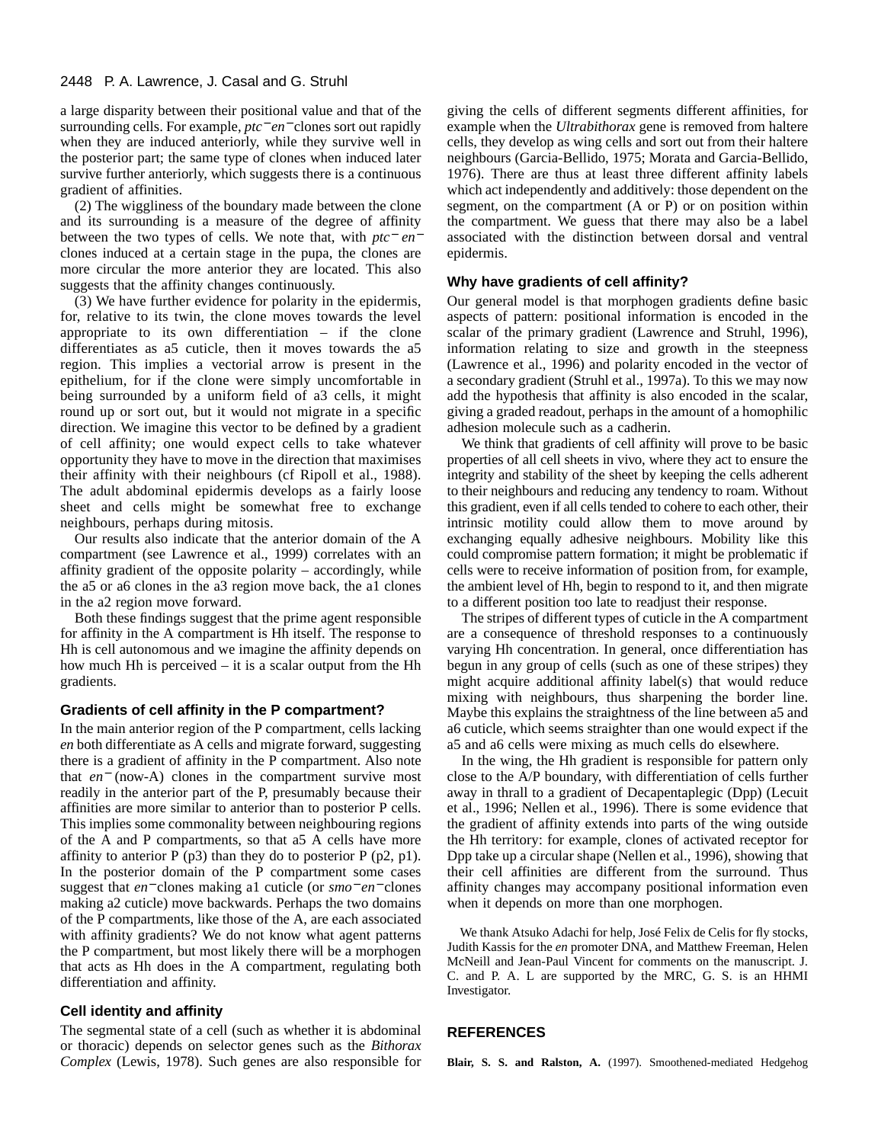#### 2448 P. A. Lawrence, J. Casal and G. Struhl

a large disparity between their positional value and that of the surrounding cells. For example, *ptc*<sup>−</sup> *en*<sup>−</sup> clones sort out rapidly when they are induced anteriorly, while they survive well in the posterior part; the same type of clones when induced later survive further anteriorly, which suggests there is a continuous gradient of affinities.

(2) The wiggliness of the boundary made between the clone and its surrounding is a measure of the degree of affinity between the two types of cells. We note that, with *ptc*<sup>−</sup> *en*<sup>−</sup> clones induced at a certain stage in the pupa, the clones are more circular the more anterior they are located. This also suggests that the affinity changes continuously.

(3) We have further evidence for polarity in the epidermis, for, relative to its twin, the clone moves towards the level appropriate to its own differentiation – if the clone differentiates as a5 cuticle, then it moves towards the a5 region. This implies a vectorial arrow is present in the epithelium, for if the clone were simply uncomfortable in being surrounded by a uniform field of a3 cells, it might round up or sort out, but it would not migrate in a specific direction. We imagine this vector to be defined by a gradient of cell affinity; one would expect cells to take whatever opportunity they have to move in the direction that maximises their affinity with their neighbours (cf Ripoll et al., 1988). The adult abdominal epidermis develops as a fairly loose sheet and cells might be somewhat free to exchange neighbours, perhaps during mitosis.

Our results also indicate that the anterior domain of the A compartment (see Lawrence et al., 1999) correlates with an affinity gradient of the opposite polarity – accordingly, while the a5 or a6 clones in the a3 region move back, the a1 clones in the a2 region move forward.

Both these findings suggest that the prime agent responsible for affinity in the A compartment is Hh itself. The response to Hh is cell autonomous and we imagine the affinity depends on how much Hh is perceived – it is a scalar output from the Hh gradients.

#### **Gradients of cell affinity in the P compartment?**

In the main anterior region of the P compartment, cells lacking *en* both differentiate as A cells and migrate forward, suggesting there is a gradient of affinity in the P compartment. Also note that *en*<sup>−</sup> (now-A) clones in the compartment survive most readily in the anterior part of the P, presumably because their affinities are more similar to anterior than to posterior P cells. This implies some commonality between neighbouring regions of the A and P compartments, so that a5 A cells have more affinity to anterior  $P(p3)$  than they do to posterior  $P(p2, p1)$ . In the posterior domain of the P compartment some cases suggest that *en*<sup>−</sup> clones making a1 cuticle (or *smo*<sup>−</sup> *en*<sup>−</sup> clones making a2 cuticle) move backwards. Perhaps the two domains of the P compartments, like those of the A, are each associated with affinity gradients? We do not know what agent patterns the P compartment, but most likely there will be a morphogen that acts as Hh does in the A compartment, regulating both differentiation and affinity.

#### **Cell identity and affinity**

The segmental state of a cell (such as whether it is abdominal or thoracic) depends on selector genes such as the *Bithorax Complex* (Lewis, 1978). Such genes are also responsible for giving the cells of different segments different affinities, for example when the *Ultrabithorax* gene is removed from haltere cells, they develop as wing cells and sort out from their haltere neighbours (Garcia-Bellido, 1975; Morata and Garcia-Bellido, 1976). There are thus at least three different affinity labels which act independently and additively: those dependent on the segment, on the compartment (A or P) or on position within the compartment. We guess that there may also be a label associated with the distinction between dorsal and ventral epidermis.

#### **Why have gradients of cell affinity?**

Our general model is that morphogen gradients define basic aspects of pattern: positional information is encoded in the scalar of the primary gradient (Lawrence and Struhl, 1996), information relating to size and growth in the steepness (Lawrence et al., 1996) and polarity encoded in the vector of a secondary gradient (Struhl et al., 1997a). To this we may now add the hypothesis that affinity is also encoded in the scalar, giving a graded readout, perhaps in the amount of a homophilic adhesion molecule such as a cadherin.

We think that gradients of cell affinity will prove to be basic properties of all cell sheets in vivo, where they act to ensure the integrity and stability of the sheet by keeping the cells adherent to their neighbours and reducing any tendency to roam. Without this gradient, even if all cells tended to cohere to each other, their intrinsic motility could allow them to move around by exchanging equally adhesive neighbours. Mobility like this could compromise pattern formation; it might be problematic if cells were to receive information of position from, for example, the ambient level of Hh, begin to respond to it, and then migrate to a different position too late to readjust their response.

The stripes of different types of cuticle in the A compartment are a consequence of threshold responses to a continuously varying Hh concentration. In general, once differentiation has begun in any group of cells (such as one of these stripes) they might acquire additional affinity label(s) that would reduce mixing with neighbours, thus sharpening the border line. Maybe this explains the straightness of the line between a5 and a6 cuticle, which seems straighter than one would expect if the a5 and a6 cells were mixing as much cells do elsewhere.

In the wing, the Hh gradient is responsible for pattern only close to the A/P boundary, with differentiation of cells further away in thrall to a gradient of Decapentaplegic (Dpp) (Lecuit et al., 1996; Nellen et al., 1996). There is some evidence that the gradient of affinity extends into parts of the wing outside the Hh territory: for example, clones of activated receptor for Dpp take up a circular shape (Nellen et al., 1996), showing that their cell affinities are different from the surround. Thus affinity changes may accompany positional information even when it depends on more than one morphogen.

We thank Atsuko Adachi for help, José Felix de Celis for fly stocks, Judith Kassis for the *en* promoter DNA, and Matthew Freeman, Helen McNeill and Jean-Paul Vincent for comments on the manuscript. J. C. and P. A. L are supported by the MRC, G. S. is an HHMI Investigator.

#### **REFERENCES**

**Blair, S. S. and Ralston, A.** (1997). Smoothened-mediated Hedgehog